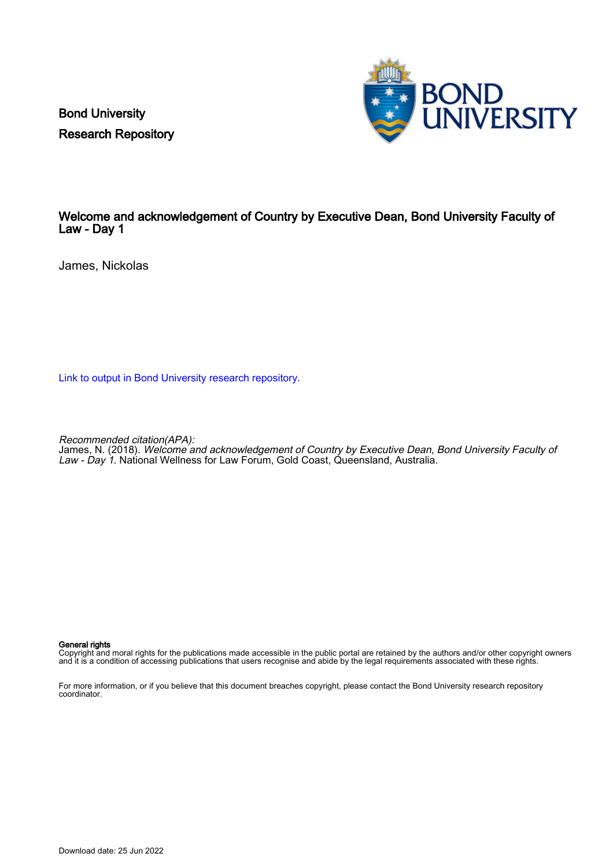Bond University Research Repository



## Welcome and acknowledgement of Country by Executive Dean, Bond University Faculty of Law - Day 1

James, Nickolas

[Link to output in Bond University research repository.](https://research.bond.edu.au/en/publications/09c319f8-33c0-4642-99f7-a2567a1b6121)

Recommended citation(APA):

James, N. (2018). Welcome and acknowledgement of Country by Executive Dean, Bond University Faculty of Law - Day 1. National Wellness for Law Forum, Gold Coast, Queensland, Australia.

## General rights

Copyright and moral rights for the publications made accessible in the public portal are retained by the authors and/or other copyright owners and it is a condition of accessing publications that users recognise and abide by the legal requirements associated with these rights.

For more information, or if you believe that this document breaches copyright, please contact the Bond University research repository coordinator.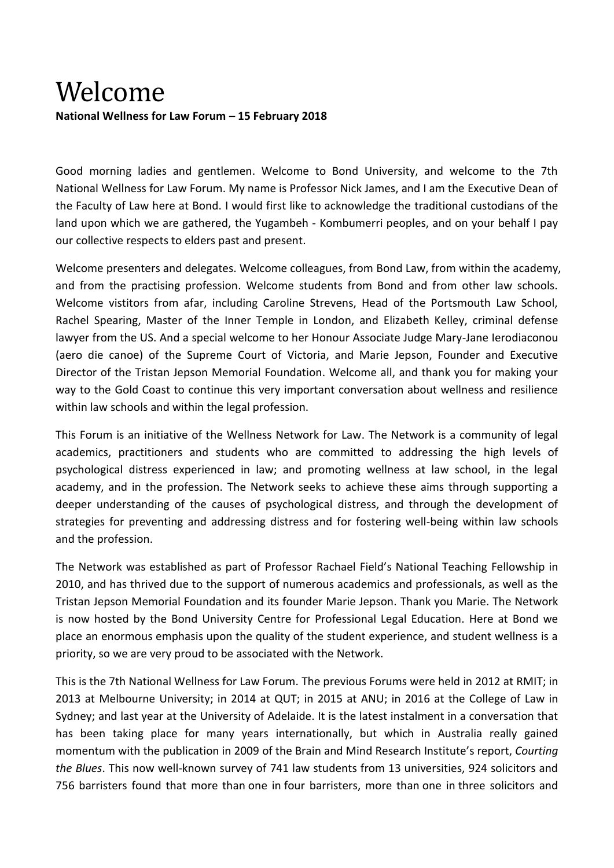## Welcome **National Wellness for Law Forum – 15 February 2018**

Good morning ladies and gentlemen. Welcome to Bond University, and welcome to the 7th National Wellness for Law Forum. My name is Professor Nick James, and I am the Executive Dean of the Faculty of Law here at Bond. I would first like to acknowledge the traditional custodians of the land upon which we are gathered, the Yugambeh - Kombumerri peoples, and on your behalf I pay our collective respects to elders past and present.

Welcome presenters and delegates. Welcome colleagues, from Bond Law, from within the academy, and from the practising profession. Welcome students from Bond and from other law schools. Welcome vistitors from afar, including Caroline Strevens, Head of the Portsmouth Law School, Rachel Spearing, Master of the Inner Temple in London, and Elizabeth Kelley, criminal defense lawyer from the US. And a special welcome to her Honour Associate Judge Mary-Jane Ierodiaconou (aero die canoe) of the Supreme Court of Victoria, and Marie Jepson, Founder and Executive Director of the Tristan Jepson Memorial Foundation. Welcome all, and thank you for making your way to the Gold Coast to continue this very important conversation about wellness and resilience within law schools and within the legal profession.

This Forum is an initiative of the Wellness Network for Law. The Network is a community of legal academics, practitioners and students who are committed to addressing the high levels of psychological distress experienced in law; and promoting wellness at law school, in the legal academy, and in the profession. The Network seeks to achieve these aims through supporting a deeper understanding of the causes of psychological distress, and through the development of strategies for preventing and addressing distress and for fostering well-being within law schools and the profession.

The Network was established as part of Professor Rachael Field's National Teaching Fellowship in 2010, and has thrived due to the support of numerous academics and professionals, as well as the Tristan Jepson Memorial Foundation and its founder Marie Jepson. Thank you Marie. The Network is now hosted by the Bond University Centre for Professional Legal Education. Here at Bond we place an enormous emphasis upon the quality of the student experience, and student wellness is a priority, so we are very proud to be associated with the Network.

This is the 7th National Wellness for Law Forum. The previous Forums were held in 2012 at RMIT; in 2013 at Melbourne University; in 2014 at QUT; in 2015 at ANU; in 2016 at the College of Law in Sydney; and last year at the University of Adelaide. It is the latest instalment in a conversation that has been taking place for many years internationally, but which in Australia really gained momentum with the publication in 2009 of the Brain and Mind Research Institute's report, *Courting the Blues*. This now well-known survey of 741 law students from 13 universities, 924 solicitors and 756 barristers found that more than one in four barristers, more than one in three solicitors and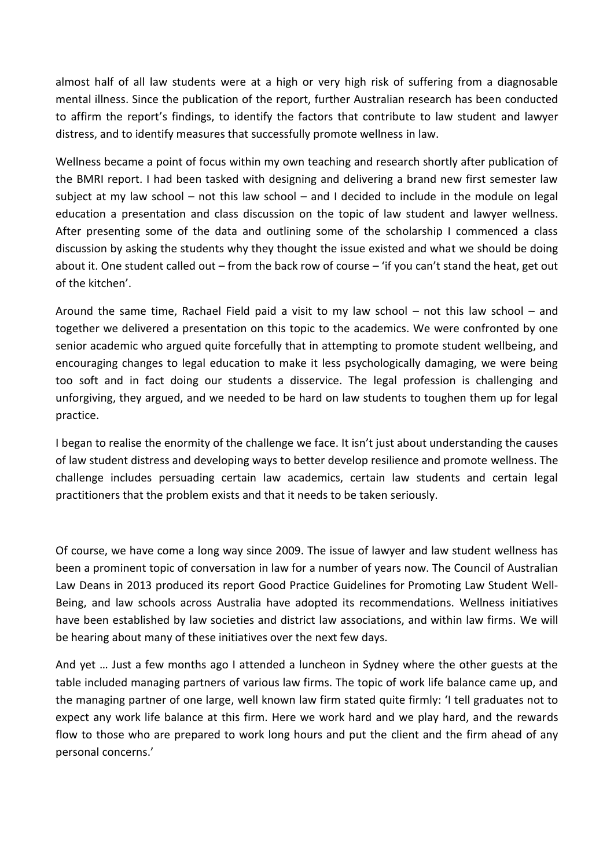almost half of all law students were at a high or very high risk of suffering from a diagnosable mental illness. Since the publication of the report, further Australian research has been conducted to affirm the report's findings, to identify the factors that contribute to law student and lawyer distress, and to identify measures that successfully promote wellness in law.

Wellness became a point of focus within my own teaching and research shortly after publication of the BMRI report. I had been tasked with designing and delivering a brand new first semester law subject at my law school – not this law school – and I decided to include in the module on legal education a presentation and class discussion on the topic of law student and lawyer wellness. After presenting some of the data and outlining some of the scholarship I commenced a class discussion by asking the students why they thought the issue existed and what we should be doing about it. One student called out – from the back row of course – 'if you can't stand the heat, get out of the kitchen'.

Around the same time, Rachael Field paid a visit to my law school – not this law school – and together we delivered a presentation on this topic to the academics. We were confronted by one senior academic who argued quite forcefully that in attempting to promote student wellbeing, and encouraging changes to legal education to make it less psychologically damaging, we were being too soft and in fact doing our students a disservice. The legal profession is challenging and unforgiving, they argued, and we needed to be hard on law students to toughen them up for legal practice.

I began to realise the enormity of the challenge we face. It isn't just about understanding the causes of law student distress and developing ways to better develop resilience and promote wellness. The challenge includes persuading certain law academics, certain law students and certain legal practitioners that the problem exists and that it needs to be taken seriously.

Of course, we have come a long way since 2009. The issue of lawyer and law student wellness has been a prominent topic of conversation in law for a number of years now. The Council of Australian Law Deans in 2013 produced its report Good Practice Guidelines for Promoting Law Student Well-Being, and law schools across Australia have adopted its recommendations. Wellness initiatives have been established by law societies and district law associations, and within law firms. We will be hearing about many of these initiatives over the next few days.

And yet … Just a few months ago I attended a luncheon in Sydney where the other guests at the table included managing partners of various law firms. The topic of work life balance came up, and the managing partner of one large, well known law firm stated quite firmly: 'I tell graduates not to expect any work life balance at this firm. Here we work hard and we play hard, and the rewards flow to those who are prepared to work long hours and put the client and the firm ahead of any personal concerns.'